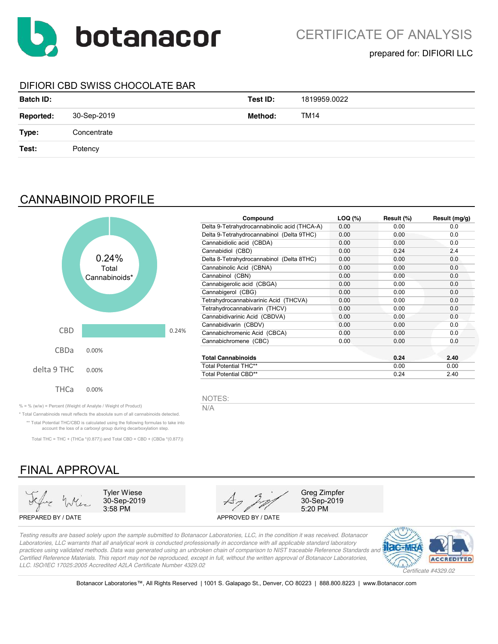

## DIFIORI CBD SWISS CHOCOLATE BAR

| <b>Batch ID:</b> |             | Test ID: | 1819959.0022 |
|------------------|-------------|----------|--------------|
| <b>Reported:</b> | 30-Sep-2019 | Method:  | <b>TM14</b>  |
| Type:            | Concentrate |          |              |
| Test:            | Potency     |          |              |
|                  |             |          |              |

## CANNABINOID PROFILE



| Compound                                     | $LOQ$ (%) | Result (%) | Result (mg/g) |
|----------------------------------------------|-----------|------------|---------------|
| Delta 9-Tetrahydrocannabinolic acid (THCA-A) | 0.00      | 0.00       | 0.0           |
| Delta 9-Tetrahydrocannabinol (Delta 9THC)    | 0.00      | 0.00       | 0.0           |
| Cannabidiolic acid (CBDA)                    | 0.00      | 0.00       | 0.0           |
| Cannabidiol (CBD)                            | 0.00      | 0.24       | 2.4           |
| Delta 8-Tetrahydrocannabinol (Delta 8THC)    | 0.00      | 0.00       | 0.0           |
| Cannabinolic Acid (CBNA)                     | 0.00      | 0.00       | 0.0           |
| Cannabinol (CBN)                             | 0.00      | 0.00       | 0.0           |
| Cannabigerolic acid (CBGA)                   | 0.00      | 0.00       | 0.0           |
| Cannabigerol (CBG)                           | 0.00      | 0.00       | 0.0           |
| Tetrahydrocannabivarinic Acid (THCVA)        | 0.00      | 0.00       | 0.0           |
| Tetrahydrocannabivarin (THCV)                | 0.00      | 0.00       | 0.0           |
| Cannabidivarinic Acid (CBDVA)                | 0.00      | 0.00       | 0.0           |
| Cannabidivarin (CBDV)                        | 0.00      | 0.00       | 0.0           |
| Cannabichromenic Acid (CBCA)                 | 0.00      | 0.00       | 0.0           |
| Cannabichromene (CBC)                        | 0.00      | 0.00       | 0.0           |
| <b>Total Cannabinoids</b>                    |           | 0.24       | 2.40          |
| <b>Total Potential THC**</b>                 | 0.00      | 0.00       |               |
| Total Potential CBD**                        |           | 0.24       | 2.40          |

NOTES:

% = % (w/w) = Percent (Weight of Analyte / Weight of Product)  $N/A$ 

\* Total Cannabinoids result reflects the absolute sum of all cannabinoids detected. \*\* Total Potential THC/CBD is calculated using the following formulas to take into account the loss of a carboxyl group during decarboxylation step.

Total THC = THC + (THCa  $*(0.877)$ ) and Total CBD = CBD + (CBDa  $*(0.877)$ )

# FINAL APPROVAL



PREPARED BY / DATE APPROVED BY / DATE



5:20 PM

*Testing results are based solely upon the sample submitted to Botanacor Laboratories, LLC, in the condition it was received. Botanacor Laboratories, LLC warrants that all analytical work is conducted professionally in accordance with all applicable standard laboratory practices using validated methods. Data was generated using an unbroken chain of comparison to NIST traceable Reference Standards and Certified Reference Materials. This report may not be reproduced, except in full, without the written approval of Botanacor Laboratories, LLC. ISO/IEC 17025:2005 Accredited A2LA Certificate Number 4329.02*



Botanacor Laboratories™, All Rights Reserved | 1001 S. Galapago St., Denver, CO 80223 | 888.800.8223 | www.Botanacor.com